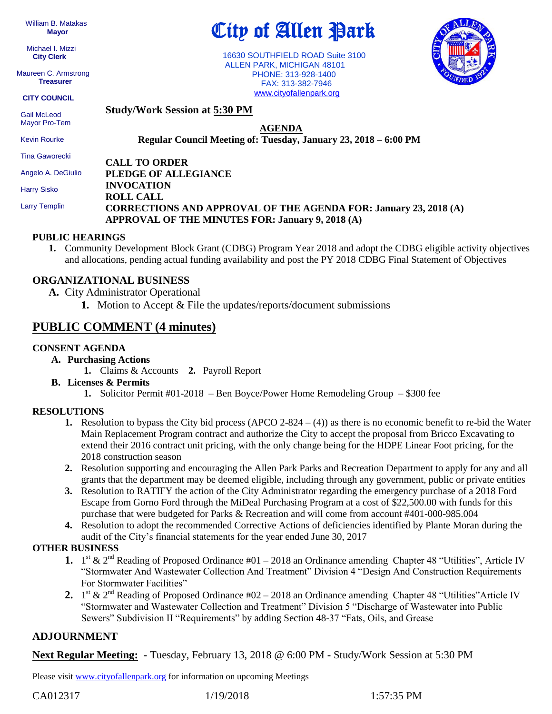William B. Matakas  **Mayor**

 Michael I. Mizzi **City Clerk**

Maureen C. Armstrong **Treasurer**

**CITY COUNCIL**

Mayor Pro-Tem Kevin Rourke

**Study/Work Session at 5:30 PM** Gail McLeod

City of Allen Park

 16630 SOUTHFIELD ROAD Suite 3100 ALLEN PARK, MICHIGAN 48101 PHONE: 313-928-1400 FAX: 313-382-7946 [www.cityofallenpark.org](http://www.cityofallenpark.org/)

**Regular Council Meeting of: Tuesday, January 23, 2018 – 6:00 PM** 

**CALL TO ORDER PLEDGE OF ALLEGIANCE INVOCATION ROLL CALL CORRECTIONS AND APPROVAL OF THE AGENDA FOR: January 23, 2018 (A) APPROVAL OF THE MINUTES FOR: January 9, 2018 (A)** Tina Gaworecki Angelo A. DeGiulio Harry Sisko Larry Templin

#### **PUBLIC HEARINGS**

**1.** Community Development Block Grant (CDBG) Program Year 2018 and adopt the CDBG eligible activity objectives and allocations, pending actual funding availability and post the PY 2018 CDBG Final Statement of Objectives

## **ORGANIZATIONAL BUSINESS**

- **A.** City Administrator Operational
	- **1.** Motion to Accept & File the updates/reports/document submissions

# **PUBLIC COMMENT (4 minutes)**

#### **CONSENT AGENDA**

- **A. Purchasing Actions**
	- **1.** Claims & Accounts **2.** Payroll Report
- **B. Licenses & Permits**
	- **1.** Solicitor Permit #01-2018 Ben Boyce/Power Home Remodeling Group \$300 fee

### **RESOLUTIONS**

- **1.** Resolution to bypass the City bid process (APCO 2-824 (4)) as there is no economic benefit to re-bid the Water Main Replacement Program contract and authorize the City to accept the proposal from Bricco Excavating to extend their 2016 contract unit pricing, with the only change being for the HDPE Linear Foot pricing, for the 2018 construction season
- **2.** Resolution supporting and encouraging the Allen Park Parks and Recreation Department to apply for any and all grants that the department may be deemed eligible, including through any government, public or private entities
- **3.** Resolution to RATIFY the action of the City Administrator regarding the emergency purchase of a 2018 Ford Escape from Gorno Ford through the MiDeal Purchasing Program at a cost of \$22,500.00 with funds for this purchase that were budgeted for Parks & Recreation and will come from account #401-000-985.004
- **4.** Resolution to adopt the recommended Corrective Actions of deficiencies identified by Plante Moran during the audit of the City's financial statements for the year ended June 30, 2017

### **OTHER BUSINESS**

- **1.**  $1^{st}$  &  $2^{nd}$  Reading of Proposed Ordinance #01 2018 an Ordinance amending Chapter 48 "Utilities", Article IV "Stormwater And Wastewater Collection And Treatment" Division 4 "Design And Construction Requirements For Stormwater Facilities"
- 2.  $1<sup>st</sup>$  &  $2<sup>nd</sup>$  Reading of Proposed Ordinance #02 2018 an Ordinance amending Chapter 48 "Utilities"Article IV "Stormwater and Wastewater Collection and Treatment" Division 5 "Discharge of Wastewater into Public Sewers" Subdivision II "Requirements" by adding Section 48-37 "Fats, Oils, and Grease

### **ADJOURNMENT**

**Next Regular Meeting: -** Tuesday, February 13, 2018 @ 6:00 PM **-** Study/Work Session at 5:30 PM

Please visit [www.cityofallenpark.org](http://www.cityofallenpark.org/) for information on upcoming Meetings





**AGENDA**